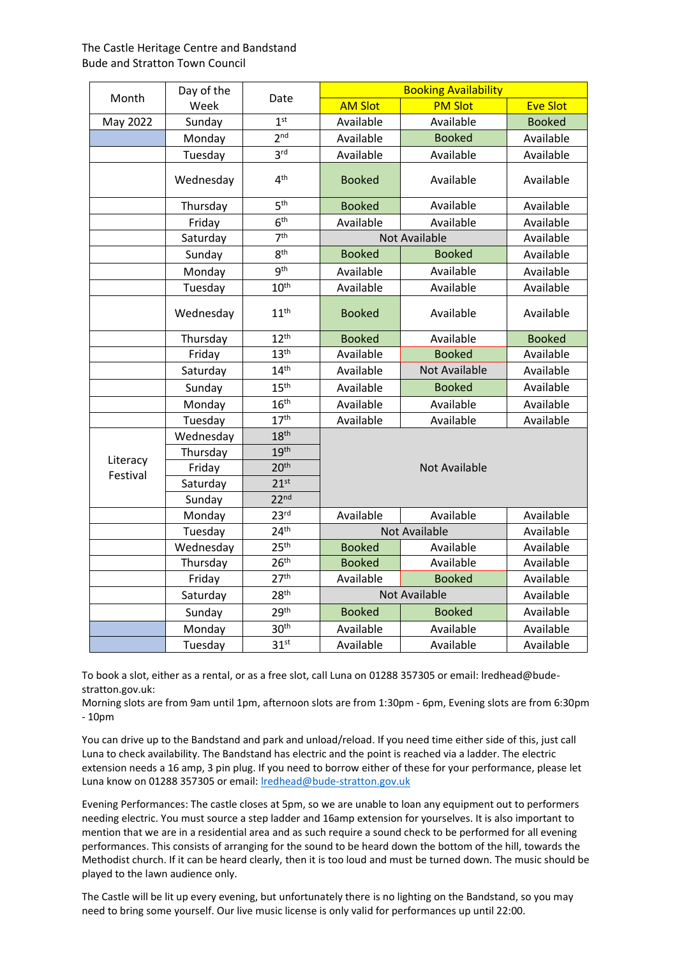| Month                | Day of the<br>Week | Date             | <b>Booking Availability</b> |                      |                 |  |  |
|----------------------|--------------------|------------------|-----------------------------|----------------------|-----------------|--|--|
|                      |                    |                  | <b>AM Slot</b>              | <b>PM Slot</b>       | <b>Eve Slot</b> |  |  |
| May 2022             | Sunday             | 1 <sup>st</sup>  | Available                   | Available            | <b>Booked</b>   |  |  |
|                      | Monday             | 2 <sub>nd</sub>  | Available                   | <b>Booked</b>        | Available       |  |  |
|                      | Tuesday            | 3 <sup>rd</sup>  | Available                   | Available            | Available       |  |  |
|                      | Wednesday          | 4 <sup>th</sup>  | <b>Booked</b>               | Available            | Available       |  |  |
|                      | Thursday           | 5 <sup>th</sup>  | <b>Booked</b>               | Available            | Available       |  |  |
|                      | Friday             | 6 <sup>th</sup>  | Available                   | Available            | Available       |  |  |
|                      | Saturday           | 7 <sup>th</sup>  |                             | Not Available        | Available       |  |  |
|                      | Sunday             | 8 <sup>th</sup>  | <b>Booked</b>               | <b>Booked</b>        | Available       |  |  |
|                      | Monday             | gth              | Available                   | Available            | Available       |  |  |
|                      | Tuesday            | 10 <sup>th</sup> | Available                   | Available            | Available       |  |  |
|                      | Wednesday          | 11 <sup>th</sup> | <b>Booked</b>               | Available            | Available       |  |  |
|                      | Thursday           | 12 <sup>th</sup> | <b>Booked</b>               | Available            | <b>Booked</b>   |  |  |
|                      | Friday             | 13 <sup>th</sup> | Available                   | <b>Booked</b>        | Available       |  |  |
|                      | Saturday           | 14 <sup>th</sup> | Available                   | <b>Not Available</b> | Available       |  |  |
|                      | Sunday             | 15 <sup>th</sup> | Available                   | <b>Booked</b>        | Available       |  |  |
|                      | Monday             | 16 <sup>th</sup> | Available                   | Available            | Available       |  |  |
|                      | Tuesday            | 17 <sup>th</sup> | Available                   | Available            | Available       |  |  |
|                      | Wednesday          | 18 <sup>th</sup> |                             |                      |                 |  |  |
|                      | Thursday           | 19 <sup>th</sup> | <b>Not Available</b>        |                      |                 |  |  |
| Literacy<br>Festival | Friday             | 20 <sup>th</sup> |                             |                      |                 |  |  |
|                      | Saturday           | 21 <sup>st</sup> |                             |                      |                 |  |  |
|                      | Sunday             | 22 <sup>nd</sup> |                             |                      |                 |  |  |
|                      | Monday             | 23 <sup>rd</sup> | Available                   | Available            | Available       |  |  |
|                      | Tuesday            | 24 <sup>th</sup> |                             | <b>Not Available</b> | Available       |  |  |
|                      | Wednesday          | 25 <sup>th</sup> | <b>Booked</b>               | Available            | Available       |  |  |
|                      | Thursday           | 26 <sup>th</sup> | <b>Booked</b>               | Available            | Available       |  |  |
|                      | Friday             | 27 <sup>th</sup> | Available                   | <b>Booked</b>        | Available       |  |  |
|                      | Saturday           | 28 <sup>th</sup> |                             | <b>Not Available</b> | Available       |  |  |
|                      | Sunday             | 29 <sup>th</sup> | <b>Booked</b>               | <b>Booked</b>        | Available       |  |  |
|                      | Monday             | 30 <sup>th</sup> | Available                   | Available            | Available       |  |  |
|                      | Tuesday            | 31 <sup>st</sup> | Available                   | Available            | Available       |  |  |

To book a slot, either as a rental, or as a free slot, call Luna on 01288 357305 or email: lredhead@budestratton.gov.uk:

Morning slots are from 9am until 1pm, afternoon slots are from 1:30pm - 6pm, Evening slots are from 6:30pm - 10pm

You can drive up to the Bandstand and park and unload/reload. If you need time either side of this, just call Luna to check availability. The Bandstand has electric and the point is reached via a ladder. The electric extension needs a 16 amp, 3 pin plug. If you need to borrow either of these for your performance, please let Luna know on 01288 357305 or email[: lredhead@bude-stratton.gov.uk](mailto:lredhead@bude-stratton.gov.uk)

Evening Performances: The castle closes at 5pm, so we are unable to loan any equipment out to performers needing electric. You must source a step ladder and 16amp extension for yourselves. It is also important to mention that we are in a residential area and as such require a sound check to be performed for all evening performances. This consists of arranging for the sound to be heard down the bottom of the hill, towards the Methodist church. If it can be heard clearly, then it is too loud and must be turned down. The music should be played to the lawn audience only.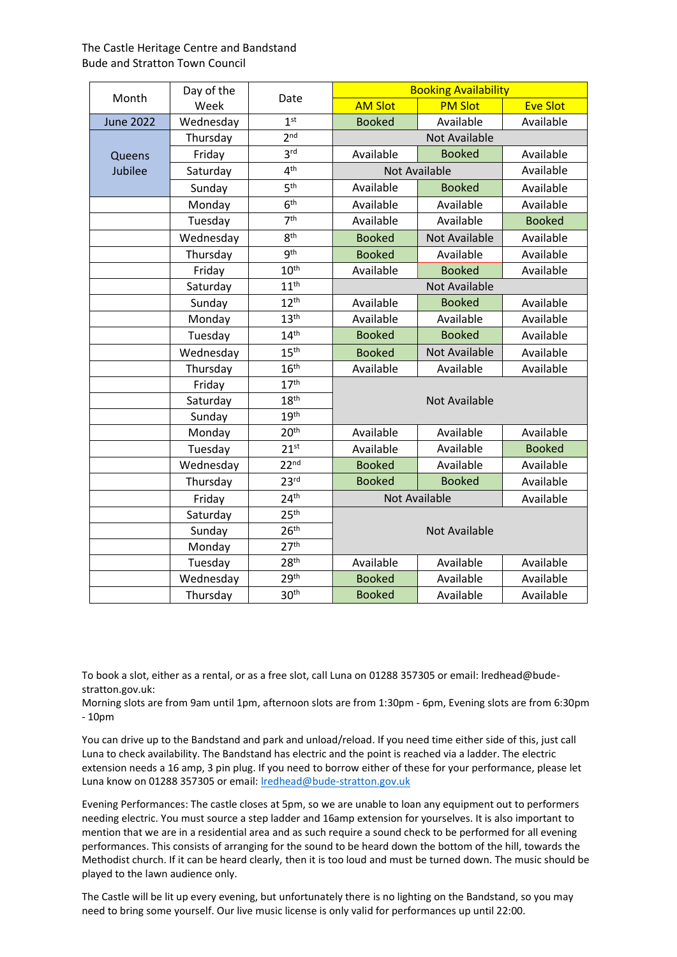| Month            | Day of the<br>Week | Date             | <b>Booking Availability</b> |                      |                 |  |
|------------------|--------------------|------------------|-----------------------------|----------------------|-----------------|--|
|                  |                    |                  | <b>AM Slot</b>              | <b>PM Slot</b>       | <b>Eve Slot</b> |  |
| <b>June 2022</b> | Wednesday          | 1 <sup>st</sup>  | <b>Booked</b>               | Available            | Available       |  |
|                  | Thursday           | 2 <sub>nd</sub>  | <b>Not Available</b>        |                      |                 |  |
| Queens           | Friday             | 3 <sup>rd</sup>  | Available                   | <b>Booked</b>        | Available       |  |
| Jubilee          | Saturday           | 4 <sup>th</sup>  | <b>Not Available</b>        |                      | Available       |  |
|                  | Sunday             | 5 <sup>th</sup>  | Available                   | <b>Booked</b>        | Available       |  |
|                  | Monday             | 6 <sup>th</sup>  | Available                   | Available            | Available       |  |
|                  | Tuesday            | 7 <sup>th</sup>  | Available                   | Available            | <b>Booked</b>   |  |
|                  | Wednesday          | 8 <sup>th</sup>  | <b>Booked</b>               | <b>Not Available</b> | Available       |  |
|                  | Thursday           | gth              | <b>Booked</b>               | Available            | Available       |  |
|                  | Friday             | 10 <sup>th</sup> | Available                   | <b>Booked</b>        | Available       |  |
|                  | Saturday           | 11 <sup>th</sup> |                             | <b>Not Available</b> |                 |  |
|                  | Sunday             | 12 <sup>th</sup> | Available                   | <b>Booked</b>        | Available       |  |
|                  | Monday             | 13 <sup>th</sup> | Available                   | Available            | Available       |  |
|                  | Tuesday            | 14 <sup>th</sup> | <b>Booked</b>               | <b>Booked</b>        | Available       |  |
|                  | Wednesday          | 15 <sup>th</sup> | <b>Booked</b>               | <b>Not Available</b> | Available       |  |
|                  | Thursday           | 16 <sup>th</sup> | Available                   | Available            | Available       |  |
|                  | Friday             | 17 <sup>th</sup> |                             |                      |                 |  |
|                  | Saturday           | 18 <sup>th</sup> | <b>Not Available</b>        |                      |                 |  |
|                  | Sunday             | 19 <sup>th</sup> |                             |                      |                 |  |
|                  | Monday             | 20 <sup>th</sup> | Available                   | Available            | Available       |  |
|                  | Tuesday            | 21 <sup>st</sup> | Available                   | Available            | <b>Booked</b>   |  |
|                  | Wednesday          | 22 <sup>nd</sup> | <b>Booked</b>               | Available            | Available       |  |
|                  | Thursday           | 23 <sup>rd</sup> | <b>Booked</b>               | <b>Booked</b>        | Available       |  |
|                  | Friday             | 24 <sup>th</sup> | <b>Not Available</b>        |                      | Available       |  |
|                  | Saturday           | 25 <sup>th</sup> |                             |                      |                 |  |
|                  | Sunday             | 26 <sup>th</sup> | <b>Not Available</b>        |                      |                 |  |
|                  | Monday             | 27 <sup>th</sup> |                             |                      |                 |  |
|                  | Tuesday            | 28 <sup>th</sup> | Available                   | Available            | Available       |  |
|                  | Wednesday          | 29 <sup>th</sup> | <b>Booked</b>               | Available            | Available       |  |
|                  | Thursday           | 30 <sup>th</sup> | <b>Booked</b>               | Available            | Available       |  |

To book a slot, either as a rental, or as a free slot, call Luna on 01288 357305 or email: lredhead@budestratton.gov.uk:

Morning slots are from 9am until 1pm, afternoon slots are from 1:30pm - 6pm, Evening slots are from 6:30pm - 10pm

You can drive up to the Bandstand and park and unload/reload. If you need time either side of this, just call Luna to check availability. The Bandstand has electric and the point is reached via a ladder. The electric extension needs a 16 amp, 3 pin plug. If you need to borrow either of these for your performance, please let Luna know on 01288 357305 or email[: lredhead@bude-stratton.gov.uk](mailto:lredhead@bude-stratton.gov.uk)

Evening Performances: The castle closes at 5pm, so we are unable to loan any equipment out to performers needing electric. You must source a step ladder and 16amp extension for yourselves. It is also important to mention that we are in a residential area and as such require a sound check to be performed for all evening performances. This consists of arranging for the sound to be heard down the bottom of the hill, towards the Methodist church. If it can be heard clearly, then it is too loud and must be turned down. The music should be played to the lawn audience only.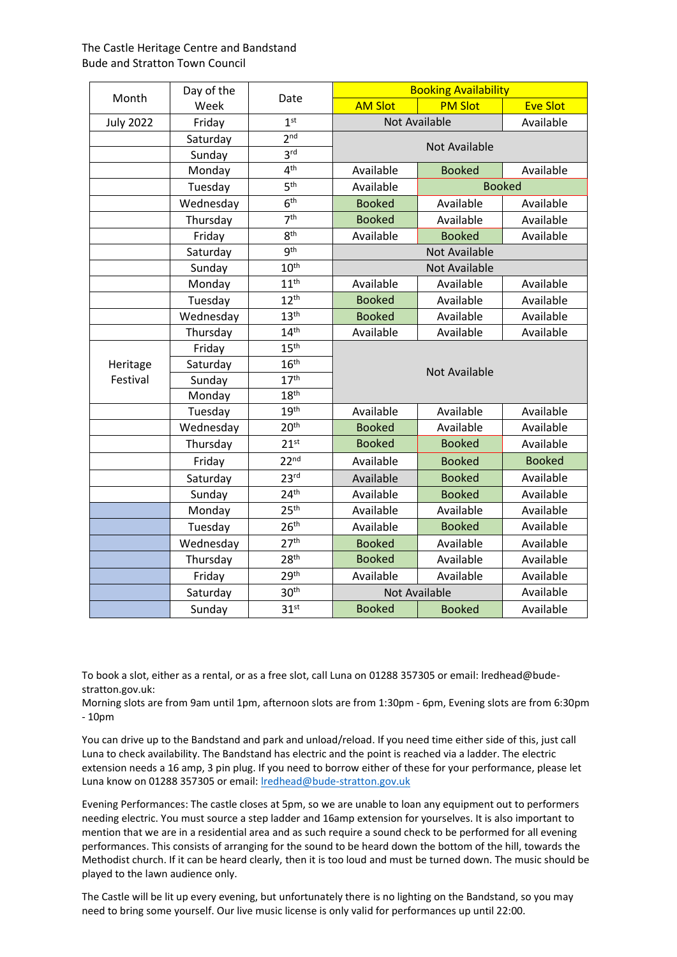| Month            | Day of the<br>Week |                  | <b>Booking Availability</b>       |                      |                 |  |
|------------------|--------------------|------------------|-----------------------------------|----------------------|-----------------|--|
|                  |                    | Date             | <b>AM Slot</b>                    | <b>PM Slot</b>       | <b>Eve Slot</b> |  |
| <b>July 2022</b> | Friday             | 1 <sup>st</sup>  | <b>Not Available</b><br>Available |                      |                 |  |
|                  | Saturday           | 2 <sub>nd</sub>  | Not Available                     |                      |                 |  |
|                  | Sunday             | 3 <sup>rd</sup>  |                                   |                      |                 |  |
|                  | Monday             | 4 <sup>th</sup>  | Available                         | <b>Booked</b>        | Available       |  |
|                  | Tuesday            | 5 <sup>th</sup>  | Available<br><b>Booked</b>        |                      |                 |  |
|                  | Wednesday          | 6 <sup>th</sup>  | <b>Booked</b>                     | Available            | Available       |  |
|                  | Thursday           | 7 <sup>th</sup>  | <b>Booked</b>                     | Available            | Available       |  |
|                  | Friday             | 8 <sup>th</sup>  | Available                         | <b>Booked</b>        | Available       |  |
|                  | Saturday           | 9 <sup>th</sup>  |                                   | <b>Not Available</b> |                 |  |
|                  | Sunday             | 10 <sup>th</sup> | <b>Not Available</b>              |                      |                 |  |
|                  | Monday             | 11 <sup>th</sup> | Available                         | Available            | Available       |  |
|                  | Tuesday            | 12 <sup>th</sup> | <b>Booked</b>                     | Available            | Available       |  |
|                  | Wednesday          | 13 <sup>th</sup> | <b>Booked</b>                     | Available            | Available       |  |
|                  | Thursday           | 14 <sup>th</sup> | Available                         | Available            | Available       |  |
|                  | Friday             | 15 <sup>th</sup> |                                   |                      |                 |  |
| Heritage         | Saturday           | 16 <sup>th</sup> |                                   | <b>Not Available</b> |                 |  |
| Festival         | Sunday             | 17 <sup>th</sup> |                                   |                      |                 |  |
|                  | Monday             | 18 <sup>th</sup> |                                   |                      |                 |  |
|                  | Tuesday            | 19 <sup>th</sup> | Available                         | Available            | Available       |  |
|                  | Wednesday          | 20 <sup>th</sup> | <b>Booked</b>                     | Available            | Available       |  |
|                  | Thursday           | 21 <sup>st</sup> | <b>Booked</b>                     | <b>Booked</b>        | Available       |  |
|                  | Friday             | 22 <sup>nd</sup> | Available                         | <b>Booked</b>        | <b>Booked</b>   |  |
|                  | Saturday           | 23 <sup>rd</sup> | Available                         | <b>Booked</b>        | Available       |  |
|                  | Sunday             | 24 <sup>th</sup> | Available                         | <b>Booked</b>        | Available       |  |
|                  | Monday             | 25 <sup>th</sup> | Available                         | Available            | Available       |  |
|                  | Tuesday            | 26 <sup>th</sup> | Available                         | <b>Booked</b>        | Available       |  |
|                  | Wednesday          | 27 <sup>th</sup> | <b>Booked</b>                     | Available            | Available       |  |
|                  | Thursday           | 28 <sup>th</sup> | <b>Booked</b>                     | Available            | Available       |  |
|                  | Friday             | 29th             | Available                         | Available            | Available       |  |
|                  | Saturday           | 30 <sup>th</sup> |                                   | <b>Not Available</b> | Available       |  |
|                  | Sunday             | 31 <sup>st</sup> | <b>Booked</b>                     | <b>Booked</b>        | Available       |  |

To book a slot, either as a rental, or as a free slot, call Luna on 01288 357305 or email: lredhead@budestratton.gov.uk:

Morning slots are from 9am until 1pm, afternoon slots are from 1:30pm - 6pm, Evening slots are from 6:30pm - 10pm

You can drive up to the Bandstand and park and unload/reload. If you need time either side of this, just call Luna to check availability. The Bandstand has electric and the point is reached via a ladder. The electric extension needs a 16 amp, 3 pin plug. If you need to borrow either of these for your performance, please let Luna know on 01288 357305 or email[: lredhead@bude-stratton.gov.uk](mailto:lredhead@bude-stratton.gov.uk)

Evening Performances: The castle closes at 5pm, so we are unable to loan any equipment out to performers needing electric. You must source a step ladder and 16amp extension for yourselves. It is also important to mention that we are in a residential area and as such require a sound check to be performed for all evening performances. This consists of arranging for the sound to be heard down the bottom of the hill, towards the Methodist church. If it can be heard clearly, then it is too loud and must be turned down. The music should be played to the lawn audience only.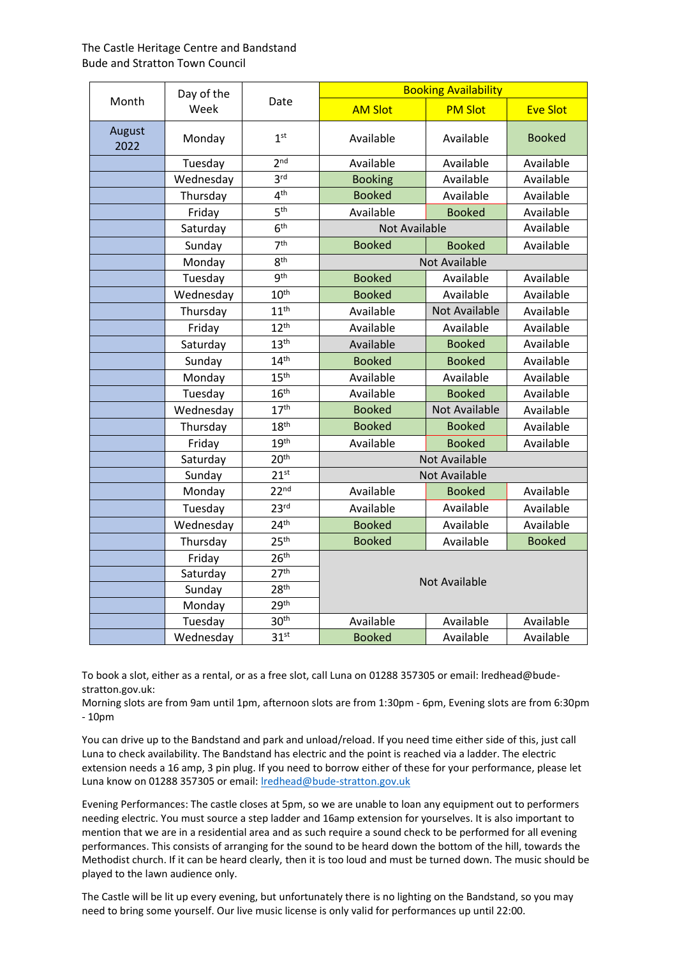|                | Day of the<br>Week |                  | <b>Booking Availability</b> |                      |                 |  |
|----------------|--------------------|------------------|-----------------------------|----------------------|-----------------|--|
| Month          |                    | Date             | <b>AM Slot</b>              | <b>PM Slot</b>       | <b>Eve Slot</b> |  |
| August<br>2022 | Monday             | 1 <sup>st</sup>  | Available                   | Available            | <b>Booked</b>   |  |
|                | Tuesday            | 2 <sub>nd</sub>  | Available                   | Available            | Available       |  |
|                | Wednesday          | 3 <sup>rd</sup>  | <b>Booking</b>              | Available            | Available       |  |
|                | Thursday           | 4 <sup>th</sup>  | <b>Booked</b>               | Available            | Available       |  |
|                | Friday             | 5 <sup>th</sup>  | Available                   | <b>Booked</b>        | Available       |  |
|                | Saturday           | 6 <sup>th</sup>  | <b>Not Available</b>        |                      | Available       |  |
|                | Sunday             | 7 <sup>th</sup>  | <b>Booked</b>               | <b>Booked</b>        | Available       |  |
|                | Monday             | 8 <sup>th</sup>  |                             | Not Available        |                 |  |
|                | Tuesday            | g <sup>th</sup>  | <b>Booked</b>               | Available            | Available       |  |
|                | Wednesday          | 10 <sup>th</sup> | <b>Booked</b>               | Available            | Available       |  |
|                | Thursday           | 11 <sup>th</sup> | Available                   | <b>Not Available</b> | Available       |  |
|                | Friday             | 12 <sup>th</sup> | Available                   | Available            | Available       |  |
|                | Saturday           | 13 <sup>th</sup> | Available                   | <b>Booked</b>        | Available       |  |
|                | Sunday             | 14 <sup>th</sup> | <b>Booked</b>               | <b>Booked</b>        | Available       |  |
|                | Monday             | 15 <sup>th</sup> | Available                   | Available            | Available       |  |
|                | Tuesday            | 16 <sup>th</sup> | Available                   | <b>Booked</b>        | Available       |  |
|                | Wednesday          | 17 <sup>th</sup> | <b>Booked</b>               | <b>Not Available</b> | Available       |  |
|                | Thursday           | 18 <sup>th</sup> | <b>Booked</b>               | <b>Booked</b>        | Available       |  |
|                | Friday             | 19 <sup>th</sup> | Available                   | <b>Booked</b>        | Available       |  |
|                | Saturday           | 20 <sup>th</sup> | <b>Not Available</b>        |                      |                 |  |
|                | Sunday             | 21 <sup>st</sup> |                             | <b>Not Available</b> |                 |  |
|                | Monday             | 22 <sup>nd</sup> | Available                   | <b>Booked</b>        | Available       |  |
|                | Tuesday            | 23 <sup>rd</sup> | Available                   | Available            | Available       |  |
|                | Wednesday          | 24 <sup>th</sup> | <b>Booked</b>               | Available            | Available       |  |
|                | Thursday           | 25 <sup>th</sup> | <b>Booked</b>               | Available            | <b>Booked</b>   |  |
|                | Friday             | 26 <sup>th</sup> | <b>Not Available</b>        |                      |                 |  |
|                | Saturday           | 27 <sup>th</sup> |                             |                      |                 |  |
|                | Sunday             | 28 <sup>th</sup> |                             |                      |                 |  |
|                | Monday             | 29 <sup>th</sup> |                             |                      |                 |  |
|                | Tuesday            | 30 <sup>th</sup> | Available                   | Available            | Available       |  |
|                | Wednesday          | 31 <sup>st</sup> | <b>Booked</b>               | Available            | Available       |  |

To book a slot, either as a rental, or as a free slot, call Luna on 01288 357305 or email: lredhead@budestratton.gov.uk:

Morning slots are from 9am until 1pm, afternoon slots are from 1:30pm - 6pm, Evening slots are from 6:30pm - 10pm

You can drive up to the Bandstand and park and unload/reload. If you need time either side of this, just call Luna to check availability. The Bandstand has electric and the point is reached via a ladder. The electric extension needs a 16 amp, 3 pin plug. If you need to borrow either of these for your performance, please let Luna know on 01288 357305 or email[: lredhead@bude-stratton.gov.uk](mailto:lredhead@bude-stratton.gov.uk)

Evening Performances: The castle closes at 5pm, so we are unable to loan any equipment out to performers needing electric. You must source a step ladder and 16amp extension for yourselves. It is also important to mention that we are in a residential area and as such require a sound check to be performed for all evening performances. This consists of arranging for the sound to be heard down the bottom of the hill, towards the Methodist church. If it can be heard clearly, then it is too loud and must be turned down. The music should be played to the lawn audience only.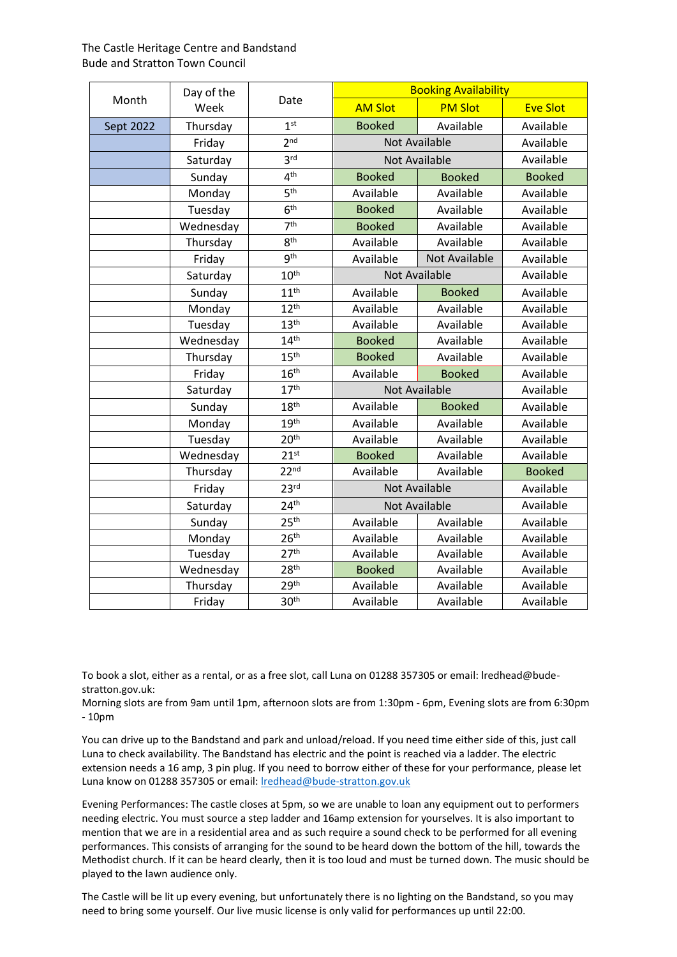| Month     | Day of the<br>Week |                  | <b>Booking Availability</b> |                      |                 |
|-----------|--------------------|------------------|-----------------------------|----------------------|-----------------|
|           |                    | Date             | <b>AM Slot</b>              | <b>PM Slot</b>       | <b>Eve Slot</b> |
| Sept 2022 | Thursday           | 1 <sup>st</sup>  | <b>Booked</b>               | Available            | Available       |
|           | Friday             | 2 <sup>nd</sup>  |                             | <b>Not Available</b> |                 |
|           | Saturday           | 3 <sup>rd</sup>  | <b>Not Available</b>        |                      | Available       |
|           | Sunday             | 4 <sup>th</sup>  | <b>Booked</b>               | <b>Booked</b>        | <b>Booked</b>   |
|           | Monday             | 5 <sup>th</sup>  | Available                   | Available            | Available       |
|           | Tuesday            | 6 <sup>th</sup>  | <b>Booked</b>               | Available            | Available       |
|           | Wednesday          | 7 <sup>th</sup>  | <b>Booked</b>               | Available            | Available       |
|           | Thursday           | 8 <sup>th</sup>  | Available                   | Available            | Available       |
|           | Friday             | <b>gth</b>       | Available                   | <b>Not Available</b> | Available       |
|           | Saturday           | 10 <sup>th</sup> |                             | <b>Not Available</b> | Available       |
|           | Sunday             | 11 <sup>th</sup> | Available                   | <b>Booked</b>        | Available       |
|           | Monday             | 12 <sup>th</sup> | Available                   | Available            | Available       |
|           | Tuesday            | 13 <sup>th</sup> | Available                   | Available            | Available       |
|           | Wednesday          | 14 <sup>th</sup> | <b>Booked</b>               | Available            | Available       |
|           | Thursday           | 15 <sup>th</sup> | <b>Booked</b>               | Available            | Available       |
|           | Friday             | 16 <sup>th</sup> | Available                   | <b>Booked</b>        | Available       |
|           | Saturday           | 17 <sup>th</sup> | <b>Not Available</b>        |                      | Available       |
|           | Sunday             | 18 <sup>th</sup> | Available                   | <b>Booked</b>        | Available       |
|           | Monday             | 19 <sup>th</sup> | Available                   | Available            | Available       |
|           | Tuesday            | 20 <sup>th</sup> | Available                   | Available            | Available       |
|           | Wednesday          | 21 <sup>st</sup> | <b>Booked</b>               | Available            | Available       |
|           | Thursday           | 22 <sup>nd</sup> | Available                   | Available            | <b>Booked</b>   |
|           | Friday             | 23 <sup>rd</sup> | <b>Not Available</b>        |                      | Available       |
|           | Saturday           | 24 <sup>th</sup> | <b>Not Available</b>        |                      | Available       |
|           | Sunday             | 25 <sup>th</sup> | Available                   | Available            | Available       |
|           | Monday             | 26 <sup>th</sup> | Available                   | Available            | Available       |
|           | Tuesday            | 27 <sup>th</sup> | Available                   | Available            | Available       |
|           | Wednesday          | 28 <sup>th</sup> | <b>Booked</b>               | Available            | Available       |
|           | Thursday           | 29 <sup>th</sup> | Available                   | Available            | Available       |
|           | Friday             | 30 <sup>th</sup> | Available                   | Available            | Available       |

To book a slot, either as a rental, or as a free slot, call Luna on 01288 357305 or email: lredhead@budestratton.gov.uk:

Morning slots are from 9am until 1pm, afternoon slots are from 1:30pm - 6pm, Evening slots are from 6:30pm - 10pm

You can drive up to the Bandstand and park and unload/reload. If you need time either side of this, just call Luna to check availability. The Bandstand has electric and the point is reached via a ladder. The electric extension needs a 16 amp, 3 pin plug. If you need to borrow either of these for your performance, please let Luna know on 01288 357305 or email[: lredhead@bude-stratton.gov.uk](mailto:lredhead@bude-stratton.gov.uk)

Evening Performances: The castle closes at 5pm, so we are unable to loan any equipment out to performers needing electric. You must source a step ladder and 16amp extension for yourselves. It is also important to mention that we are in a residential area and as such require a sound check to be performed for all evening performances. This consists of arranging for the sound to be heard down the bottom of the hill, towards the Methodist church. If it can be heard clearly, then it is too loud and must be turned down. The music should be played to the lawn audience only.